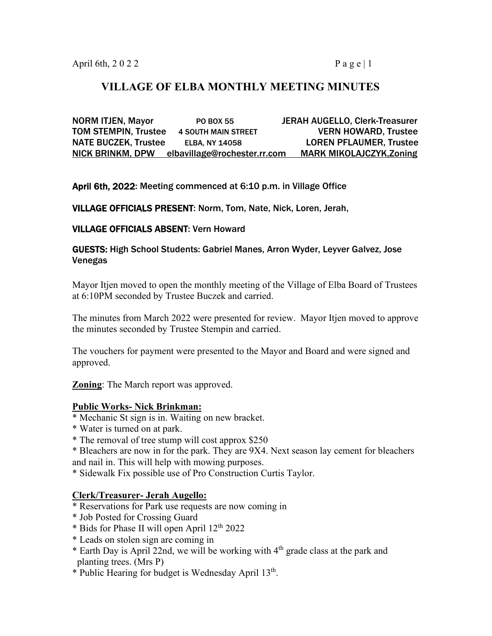# **VILLAGE OF ELBA MONTHLY MEETING MINUTES**

NORM ITJEN, Mayor PO BOX 55 JERAH AUGELLO, Clerk-Treasurer TOM STEMPIN, Trustee 4 SOUTH MAIN STREET VERN HOWARD, Trustee NATE BUCZEK, Trustee ELBA, NY 14058 LOREN PFLAUMER, Trustee NICK BRINKM, DPW elbavillage@rochester.rr.com MARK MIKOLAJCZYK,Zoning

April 6th, 2022: Meeting commenced at 6:10 p.m. in Village Office

VILLAGE OFFICIALS PRESENT: Norm, Tom, Nate, Nick, Loren, Jerah,

## VILLAGE OFFICIALS ABSENT: Vern Howard

### GUESTS: High School Students: Gabriel Manes, Arron Wyder, Leyver Galvez, Jose Venegas

Mayor Itjen moved to open the monthly meeting of the Village of Elba Board of Trustees at 6:10PM seconded by Trustee Buczek and carried.

The minutes from March 2022 were presented for review. Mayor Itjen moved to approve the minutes seconded by Trustee Stempin and carried.

The vouchers for payment were presented to the Mayor and Board and were signed and approved.

**Zoning**: The March report was approved.

### **Public Works- Nick Brinkman:**

- \* Mechanic St sign is in. Waiting on new bracket.
- \* Water is turned on at park.
- \* The removal of tree stump will cost approx \$250
- \* Bleachers are now in for the park. They are 9X4. Next season lay cement for bleachers and nail in. This will help with mowing purposes.

\* Sidewalk Fix possible use of Pro Construction Curtis Taylor.

### **Clerk/Treasurer- Jerah Augello:**

- \* Reservations for Park use requests are now coming in
- \* Job Posted for Crossing Guard
- \* Bids for Phase II will open April 12th 2022
- \* Leads on stolen sign are coming in
- \* Earth Day is April 22nd, we will be working with 4<sup>th</sup> grade class at the park and planting trees. (Mrs P)
- \* Public Hearing for budget is Wednesday April 13<sup>th</sup>.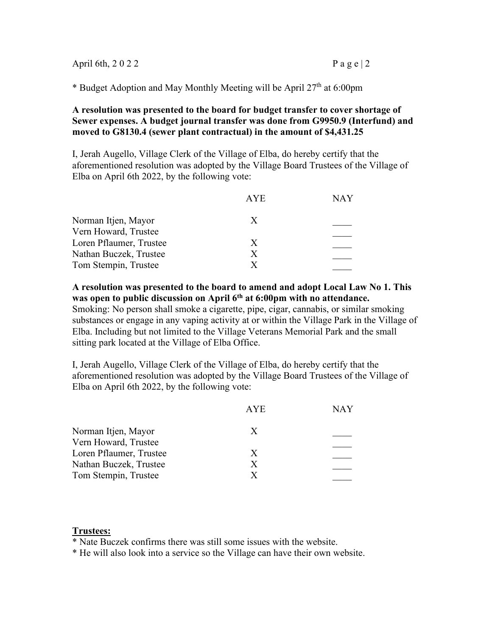| April 6th, 2022 | Page   2 |
|-----------------|----------|
|-----------------|----------|

\* Budget Adoption and May Monthly Meeting will be April 27th at 6:00pm

#### **A resolution was presented to the board for budget transfer to cover shortage of Sewer expenses. A budget journal transfer was done from G9950.9 (Interfund) and moved to G8130.4 (sewer plant contractual) in the amount of \$4,431.25**

I, Jerah Augello, Village Clerk of the Village of Elba, do hereby certify that the aforementioned resolution was adopted by the Village Board Trustees of the Village of Elba on April 6th 2022, by the following vote:

|                         | <b>AYE</b> | NAY |
|-------------------------|------------|-----|
| Norman Itjen, Mayor     | X          |     |
| Vern Howard, Trustee    |            |     |
| Loren Pflaumer, Trustee | X          |     |
| Nathan Buczek, Trustee  | X          |     |
| Tom Stempin, Trustee    |            |     |
|                         |            |     |

**A resolution was presented to the board to amend and adopt Local Law No 1. This was open to public discussion on April 6th at 6:00pm with no attendance.** 

Smoking: No person shall smoke a cigarette, pipe, cigar, cannabis, or similar smoking substances or engage in any vaping activity at or within the Village Park in the Village of Elba. Including but not limited to the Village Veterans Memorial Park and the small sitting park located at the Village of Elba Office.

I, Jerah Augello, Village Clerk of the Village of Elba, do hereby certify that the aforementioned resolution was adopted by the Village Board Trustees of the Village of Elba on April 6th 2022, by the following vote:

|                         | <b>AYE</b> | NAY |
|-------------------------|------------|-----|
| Norman Itjen, Mayor     | X          |     |
| Vern Howard, Trustee    |            |     |
| Loren Pflaumer, Trustee | X          |     |
| Nathan Buczek, Trustee  | X          |     |
| Tom Stempin, Trustee    |            |     |
|                         |            |     |

## **Trustees:**

\* Nate Buczek confirms there was still some issues with the website.

\* He will also look into a service so the Village can have their own website.